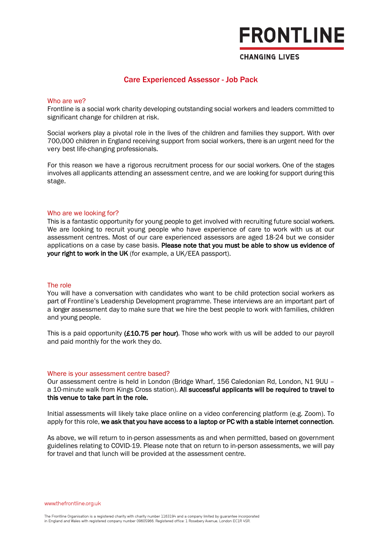# **FRONTLINE**

### **CHANGING LIVES**

## Care Experienced Assessor - Job Pack

### Who are we?

Frontline is a social work charity developing outstanding social workers and leaders committed to significant change for children at risk.

Social workers play a pivotal role in the lives of the children and families they support. With over 700,000 children in England receiving support from social workers, there is an urgent need for the very best life-changing professionals.

For this reason we have a rigorous recruitment process for our social workers. One of the stages involves all applicants attending an assessment centre, and we are looking for support during this stage.

### Who are we looking for?

This is a fantastic opportunity for young people to get involved with recruiting future social workers. We are looking to recruit young people who have experience of care to work with us at our assessment centres. Most of our care experienced assessors are aged 18-24 but we consider applications on a case by case basis. Please note that you must be able to show us evidence of your right to work in the UK (for example, a UK/EEA passport).

### The role

You will have a conversation with candidates who want to be child protection social workers as part of Frontline's Leadership Development programme. These interviews are an important part of a longer assessment day to make sure that we hire the best people to work with families, children and young people.

This is a paid opportunity  $(£10.75$  per hour). Those who work with us will be added to our payroll and paid monthly for the work they do.

### Where is your assessment centre based?

Our assessment centre is held in London (Bridge Wharf, 156 Caledonian Rd, London, N1 9UU – a 10-minute walk from Kings Cross station). All successful applicants will be required to travel to this venue to take part in the role.

Initial assessments will likely take place online on a video conferencing platform (e.g. Zoom). To apply for this role, we ask that you have access to a laptop or PC with a stable internet connection.

As above, we will return to in-person assessments as and when permitted, based on government guidelines relating to COVID-19. Please note that on return to in-person assessments, we will pay for travel and that lunch will be provided at the assessment centre.

www.thefrontline.org.uk